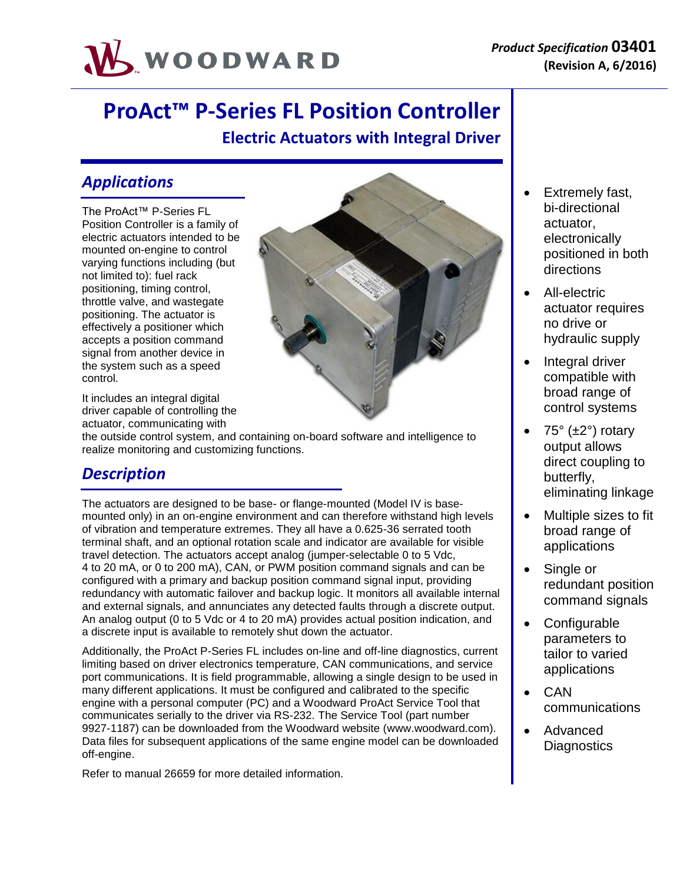

# **ProAct™ P-Series FL Position Controller Electric Actuators with Integral Driver**

### *Applications*

The ProAct™ P-Series FL Position Controller is a family of electric actuators intended to be mounted on-engine to control varying functions including (but not limited to): fuel rack positioning, timing control, throttle valve, and wastegate positioning. The actuator is effectively a positioner which accepts a position command signal from another device in the system such as a speed control.

It includes an integral digital driver capable of controlling the actuator, communicating with

the outside control system, and containing on-board software and intelligence to realize monitoring and customizing functions.

### *Description*

The actuators are designed to be base- or flange-mounted (Model IV is basemounted only) in an on-engine environment and can therefore withstand high levels of vibration and temperature extremes. They all have a 0.625-36 serrated tooth terminal shaft, and an optional rotation scale and indicator are available for visible travel detection. The actuators accept analog (jumper-selectable 0 to 5 Vdc, 4 to 20 mA, or 0 to 200 mA), CAN, or PWM position command signals and can be configured with a primary and backup position command signal input, providing redundancy with automatic failover and backup logic. It monitors all available internal and external signals, and annunciates any detected faults through a discrete output. An analog output (0 to 5 Vdc or 4 to 20 mA) provides actual position indication, and a discrete input is available to remotely shut down the actuator.

Additionally, the ProAct P-Series FL includes on-line and off-line diagnostics, current limiting based on driver electronics temperature, CAN communications, and service port communications. It is field programmable, allowing a single design to be used in many different applications. It must be configured and calibrated to the specific engine with a personal computer (PC) and a Woodward ProAct Service Tool that communicates serially to the driver via RS-232. The Service Tool (part number 9927-1187) can be downloaded from the Woodward website [\(www.woodward.com\)](http://www.woodward.com/). Data files for subsequent applications of the same engine model can be downloaded off-engine.

Refer to manual 26659 for more detailed information.



- Extremely fast, bi-directional actuator, electronically positioned in both directions
- All-electric actuator requires no drive or hydraulic supply
- Integral driver compatible with broad range of control systems
- 75° (±2°) rotary output allows direct coupling to butterfly, eliminating linkage
- Multiple sizes to fit broad range of applications
- Single or redundant position command signals
- Configurable parameters to tailor to varied applications
	- CAN communications
- Advanced **Diagnostics**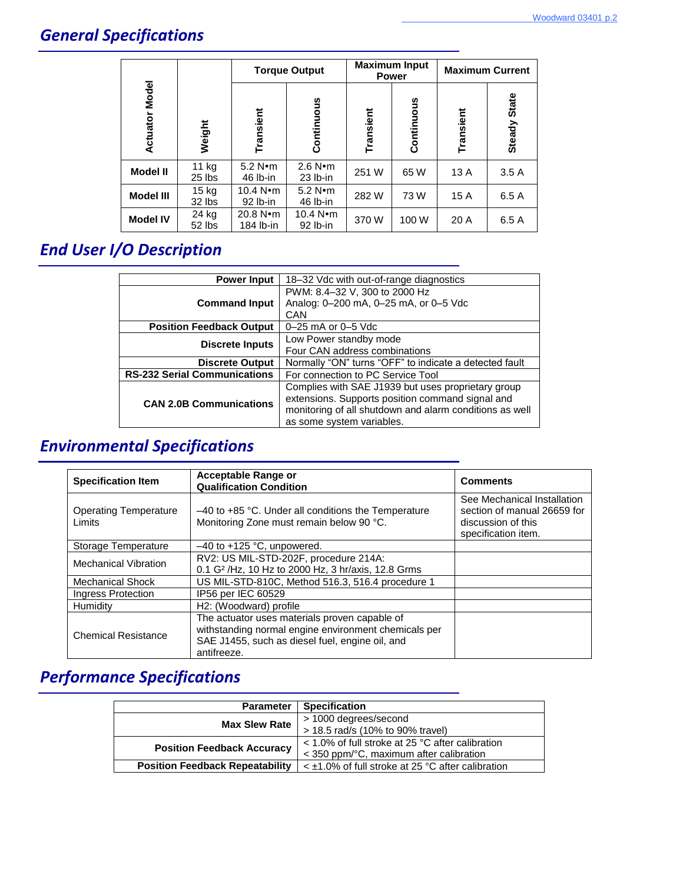# *General Specifications*

|                          | Weight          | <b>Torque Output</b>          |                                 | <b>Maximum Input</b><br><b>Power</b> |            | <b>Maximum Current</b> |              |
|--------------------------|-----------------|-------------------------------|---------------------------------|--------------------------------------|------------|------------------------|--------------|
| <b>Model</b><br>Actuator |                 | Transient                     | Continuous                      | Transient                            | Continuous | Transient              | Steady State |
| <b>Model II</b>          | 11 kg<br>25 lbs | $5.2$ N $\cdot$ m<br>46 lb-in | $2.6$ N $\cdot$ m<br>$23$ lb-in | 251 W                                | 65 W       | 13A                    | 3.5A         |
| <b>Model III</b>         | 15 kg<br>32 lbs | 10.4 $N$ •m<br>$92$ lb-in     | $5.2 N \cdot m$<br>$46$ lb-in   | 282W                                 | 73W        | 15A                    | 6.5A         |
| <b>Model IV</b>          | 24 kg<br>52 lbs | 20.8 N·m<br>184 lb-in         | 10.4 $N$ • m<br>$92$ lb-in      | 370W                                 | 100 W      | 20 A                   | 6.5 A        |

# *End User I/O Description*

| <b>Power Input</b>                  | 18-32 Vdc with out-of-range diagnostics                 |
|-------------------------------------|---------------------------------------------------------|
|                                     | PWM: 8.4-32 V, 300 to 2000 Hz                           |
| <b>Command Input</b>                | Analog: 0-200 mA, 0-25 mA, or 0-5 Vdc                   |
|                                     | CAN                                                     |
| <b>Position Feedback Output</b>     | 0–25 mA or 0–5 Vdc                                      |
|                                     | Low Power standby mode                                  |
| <b>Discrete Inputs</b>              | Four CAN address combinations                           |
| <b>Discrete Output</b>              | Normally "ON" turns "OFF" to indicate a detected fault  |
| <b>RS-232 Serial Communications</b> | For connection to PC Service Tool                       |
|                                     | Complies with SAE J1939 but uses proprietary group      |
| <b>CAN 2.0B Communications</b>      | extensions. Supports position command signal and        |
|                                     | monitoring of all shutdown and alarm conditions as well |
|                                     | as some system variables.                               |

### *Environmental Specifications*

| <b>Specification Item</b>              | Acceptable Range or<br><b>Qualification Condition</b>                                                                                                                   | <b>Comments</b>                                                                                         |  |
|----------------------------------------|-------------------------------------------------------------------------------------------------------------------------------------------------------------------------|---------------------------------------------------------------------------------------------------------|--|
| <b>Operating Temperature</b><br>Limits | $-40$ to $+85$ °C. Under all conditions the Temperature<br>Monitoring Zone must remain below 90 °C.                                                                     | See Mechanical Installation<br>section of manual 26659 for<br>discussion of this<br>specification item. |  |
| Storage Temperature                    | $-40$ to $+125$ °C, unpowered.                                                                                                                                          |                                                                                                         |  |
| Mechanical Vibration                   | RV2: US MIL-STD-202F, procedure 214A:<br>0.1 G <sup>2</sup> /Hz, 10 Hz to 2000 Hz, 3 hr/axis, 12.8 Grms                                                                 |                                                                                                         |  |
| <b>Mechanical Shock</b>                | US MIL-STD-810C, Method 516.3, 516.4 procedure 1                                                                                                                        |                                                                                                         |  |
| Ingress Protection                     | IP56 per IEC 60529                                                                                                                                                      |                                                                                                         |  |
| Humidity                               | H <sub>2</sub> : (Woodward) profile                                                                                                                                     |                                                                                                         |  |
| <b>Chemical Resistance</b>             | The actuator uses materials proven capable of<br>withstanding normal engine environment chemicals per<br>SAE J1455, such as diesel fuel, engine oil, and<br>antifreeze. |                                                                                                         |  |

# *Performance Specifications*

| <b>Parameter</b>                       | <b>Specification</b>                                   |
|----------------------------------------|--------------------------------------------------------|
| <b>Max Slew Rate</b>                   | > 1000 degrees/second                                  |
|                                        | > 18.5 rad/s (10% to 90% travel)                       |
| <b>Position Feedback Accuracy</b>      | < 1.0% of full stroke at 25 °C after calibration       |
|                                        | $<$ 350 ppm/ $\degree$ C, maximum after calibration    |
| <b>Position Feedback Repeatability</b> | $\leq$ ±1.0% of full stroke at 25 °C after calibration |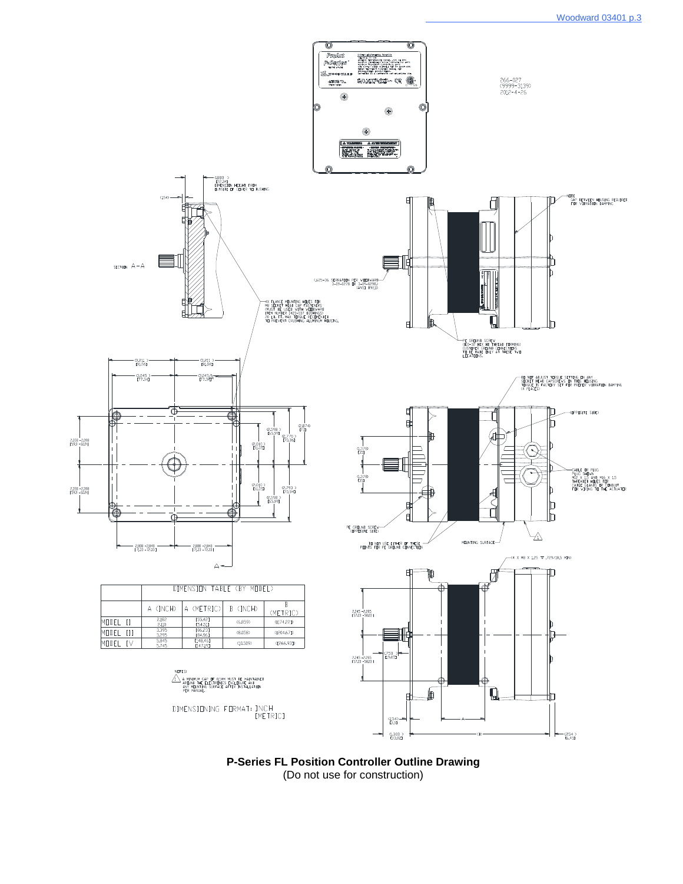